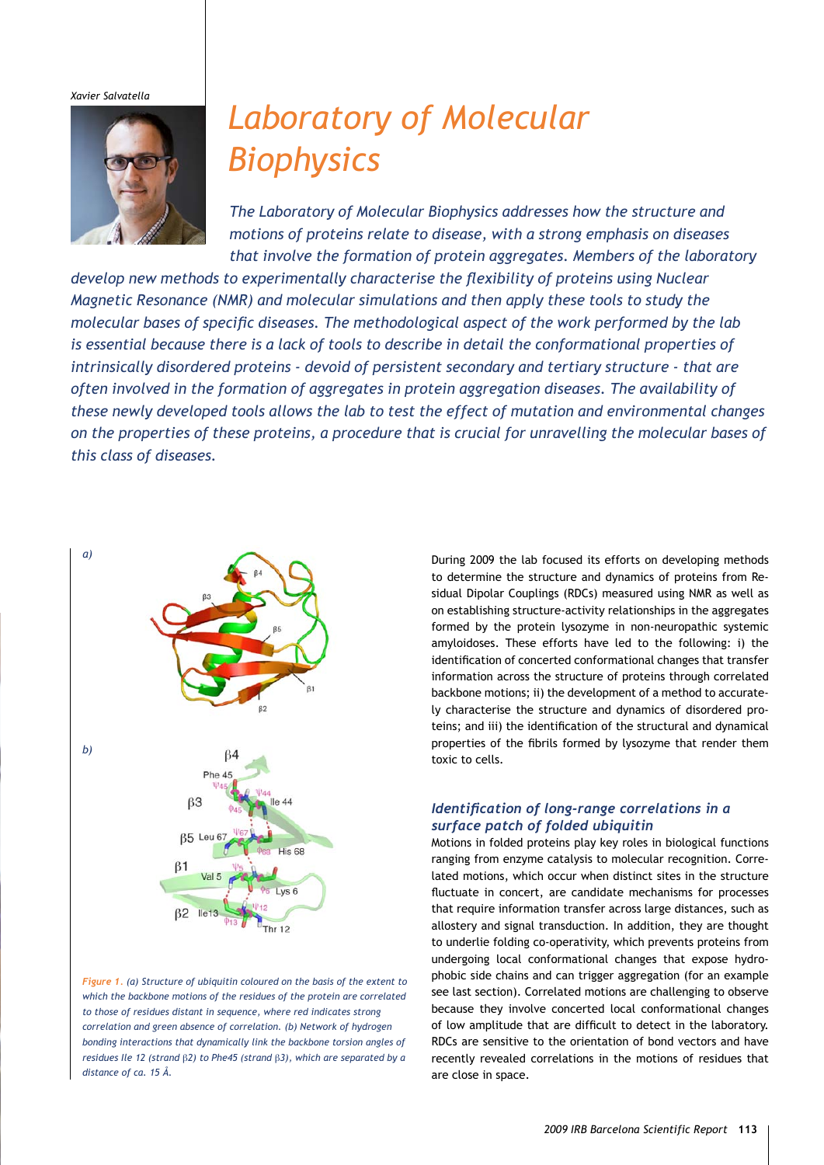*Xavier Salvatella*



# *Laboratory of Molecular Biophysics*

*The Laboratory of Molecular Biophysics addresses how the structure and motions of proteins relate to disease, with a strong emphasis on diseases that involve the formation of protein aggregates. Members of the laboratory* 

*develop new methods to experimentally characterise the flexibility of proteins using Nuclear Magnetic Resonance (NMR) and molecular simulations and then apply these tools to study the molecular bases of specific diseases. The methodological aspect of the work performed by the lab is essential because there is a lack of tools to describe in detail the conformational properties of intrinsically disordered proteins - devoid of persistent secondary and tertiary structure - that are often involved in the formation of aggregates in protein aggregation diseases. The availability of these newly developed tools allows the lab to test the effect of mutation and environmental changes on the properties of these proteins, a procedure that is crucial for unravelling the molecular bases of this class of diseases.*



*Figure 1. (a) Structure of ubiquitin coloured on the basis of the extent to which the backbone motions of the residues of the protein are correlated to those of residues distant in sequence, where red indicates strong correlation and green absence of correlation. (b) Network of hydrogen bonding interactions that dynamically link the backbone torsion angles of residues Ile 12 (strand* β*2) to Phe45 (strand* β*3), which are separated by a distance of ca. 15 Å.*

During 2009 the lab focused its efforts on developing methods to determine the structure and dynamics of proteins from Residual Dipolar Couplings (RDCs) measured using NMR as well as on establishing structure-activity relationships in the aggregates formed by the protein lysozyme in non-neuropathic systemic amyloidoses. These efforts have led to the following: i) the identification of concerted conformational changes that transfer information across the structure of proteins through correlated backbone motions; ii) the development of a method to accurately characterise the structure and dynamics of disordered proteins; and iii) the identification of the structural and dynamical properties of the fibrils formed by lysozyme that render them toxic to cells.

## *Identification of long-range correlations in a surface patch of folded ubiquitin*

Motions in folded proteins play key roles in biological functions ranging from enzyme catalysis to molecular recognition. Correlated motions, which occur when distinct sites in the structure fluctuate in concert, are candidate mechanisms for processes that require information transfer across large distances, such as allostery and signal transduction. In addition, they are thought to underlie folding co-operativity, which prevents proteins from undergoing local conformational changes that expose hydrophobic side chains and can trigger aggregation (for an example see last section). Correlated motions are challenging to observe because they involve concerted local conformational changes of low amplitude that are difficult to detect in the laboratory. RDCs are sensitive to the orientation of bond vectors and have recently revealed correlations in the motions of residues that are close in space.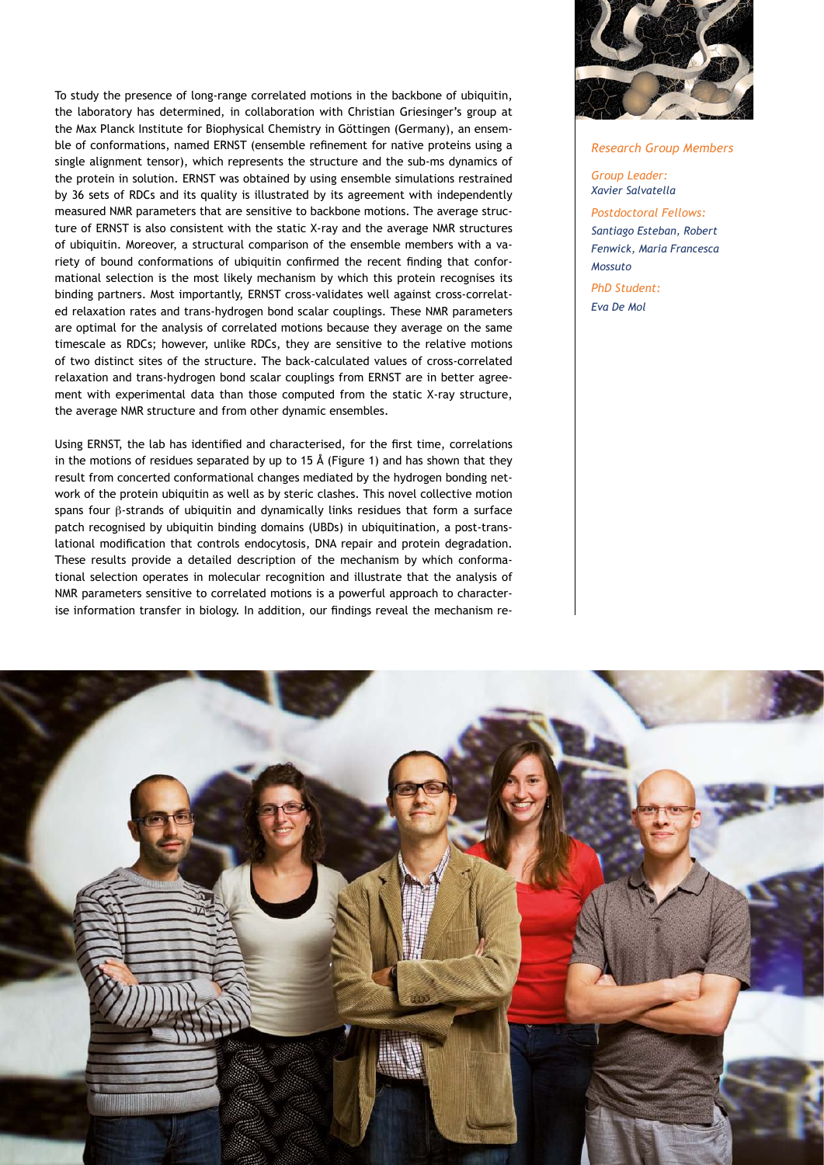To study the presence of long-range correlated motions in the backbone of ubiquitin, the laboratory has determined, in collaboration with Christian Griesinger's group at the Max Planck Institute for Biophysical Chemistry in Göttingen (Germany), an ensemble of conformations, named ERNST (ensemble refinement for native proteins using a single alignment tensor), which represents the structure and the sub-ms dynamics of the protein in solution. ERNST was obtained by using ensemble simulations restrained by 36 sets of RDCs and its quality is illustrated by its agreement with independently measured NMR parameters that are sensitive to backbone motions. The average structure of ERNST is also consistent with the static X-ray and the average NMR structures of ubiquitin. Moreover, a structural comparison of the ensemble members with a variety of bound conformations of ubiquitin confirmed the recent finding that conformational selection is the most likely mechanism by which this protein recognises its binding partners. Most importantly, ERNST cross-validates well against cross-correlated relaxation rates and trans-hydrogen bond scalar couplings. These NMR parameters are optimal for the analysis of correlated motions because they average on the same timescale as RDCs; however, unlike RDCs, they are sensitive to the relative motions of two distinct sites of the structure. The back-calculated values of cross-correlated relaxation and trans-hydrogen bond scalar couplings from ERNST are in better agreement with experimental data than those computed from the static X-ray structure, the average NMR structure and from other dynamic ensembles.

Using ERNST, the lab has identified and characterised, for the first time, correlations in the motions of residues separated by up to 15 Å (Figure 1) and has shown that they result from concerted conformational changes mediated by the hydrogen bonding network of the protein ubiquitin as well as by steric clashes. This novel collective motion spans four β-strands of ubiquitin and dynamically links residues that form a surface patch recognised by ubiquitin binding domains (UBDs) in ubiquitination, a post-translational modification that controls endocytosis, DNA repair and protein degradation. These results provide a detailed description of the mechanism by which conformational selection operates in molecular recognition and illustrate that the analysis of NMR parameters sensitive to correlated motions is a powerful approach to characterise information transfer in biology. In addition, our findings reveal the mechanism re-



#### *Research Group Members*

*Group Leader: Xavier Salvatella Postdoctoral Fellows: Santiago Esteban, Robert Fenwick, Maria Francesca Mossuto PhD Student: Eva De Mol*

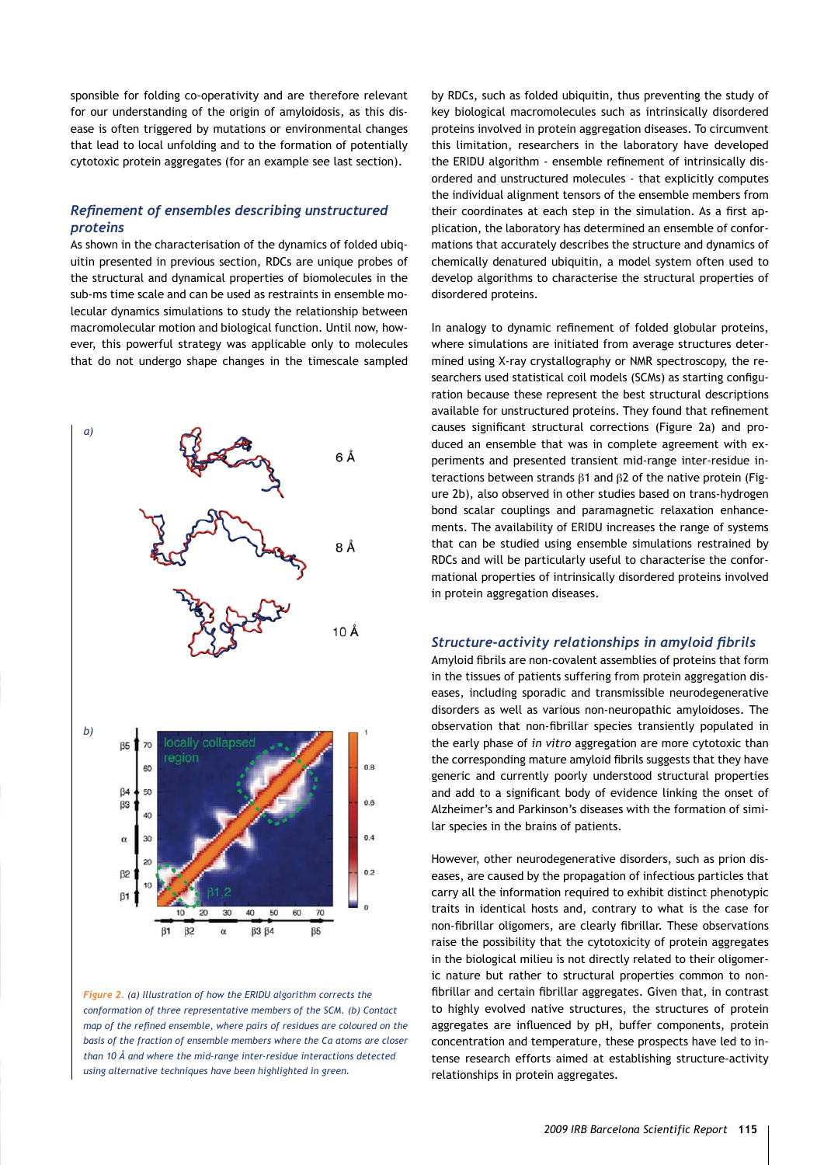sponsible for folding co-operativity and are therefore relevant for our understanding of the origin of amyloidosis, as this disease is often triggered by mutations or environmental changes that lead to local unfolding and to the formation of potentially cytotoxic protein aggregates (for an example see last section).

### *Refinement of ensembles describing unstructured proteins*

As shown in the characterisation of the dynamics of folded ubiquitin presented in previous section, RDCs are unique probes of the structural and dynamical properties of biomolecules in the sub-ms time scale and can be used as restraints in ensemble molecular dynamics simulations to study the relationship between macromolecular motion and biological function. Until now, however, this powerful strategy was applicable only to molecules that do not undergo shape changes in the timescale sampled



*Figure 2. (a) Illustration of how the ERIDU algorithm corrects the conformation of three representative members of the SCM. (b) Contact map of the refined ensemble, where pairs of residues are coloured on the basis of the fraction of ensemble members where the Cα atoms are closer than 10 Å and where the mid-range inter-residue interactions detected using alternative techniques have been highlighted in green.*

by RDCs, such as folded ubiquitin, thus preventing the study of key biological macromolecules such as intrinsically disordered proteins involved in protein aggregation diseases. To circumvent this limitation, researchers in the laboratory have developed the ERIDU algorithm - ensemble refinement of intrinsically disordered and unstructured molecules - that explicitly computes the individual alignment tensors of the ensemble members from their coordinates at each step in the simulation. As a first application, the laboratory has determined an ensemble of conformations that accurately describes the structure and dynamics of chemically denatured ubiquitin, a model system often used to develop algorithms to characterise the structural properties of disordered proteins.

In analogy to dynamic refinement of folded globular proteins, where simulations are initiated from average structures determined using X-ray crystallography or NMR spectroscopy, the researchers used statistical coil models (SCMs) as starting configuration because these represent the best structural descriptions available for unstructured proteins. They found that refinement causes significant structural corrections (Figure 2a) and produced an ensemble that was in complete agreement with experiments and presented transient mid-range inter-residue interactions between strands β1 and β2 of the native protein (Figure 2b), also observed in other studies based on trans-hydrogen bond scalar couplings and paramagnetic relaxation enhancements. The availability of ERIDU increases the range of systems that can be studied using ensemble simulations restrained by RDCs and will be particularly useful to characterise the conformational properties of intrinsically disordered proteins involved in protein aggregation diseases.

#### *Structure-activity relationships in amyloid fibrils*

Amyloid fibrils are non-covalent assemblies of proteins that form in the tissues of patients suffering from protein aggregation diseases, including sporadic and transmissible neurodegenerative disorders as well as various non-neuropathic amyloidoses. The observation that non-fibrillar species transiently populated in the early phase of *in vitro* aggregation are more cytotoxic than the corresponding mature amyloid fibrils suggests that they have generic and currently poorly understood structural properties and add to a significant body of evidence linking the onset of Alzheimer's and Parkinson's diseases with the formation of similar species in the brains of patients.

However, other neurodegenerative disorders, such as prion diseases, are caused by the propagation of infectious particles that carry all the information required to exhibit distinct phenotypic traits in identical hosts and, contrary to what is the case for non-fibrillar oligomers, are clearly fibrillar. These observations raise the possibility that the cytotoxicity of protein aggregates in the biological milieu is not directly related to their oligomeric nature but rather to structural properties common to nonfibrillar and certain fibrillar aggregates. Given that, in contrast to highly evolved native structures, the structures of protein aggregates are influenced by pH, buffer components, protein concentration and temperature, these prospects have led to intense research efforts aimed at establishing structure-activity relationships in protein aggregates.